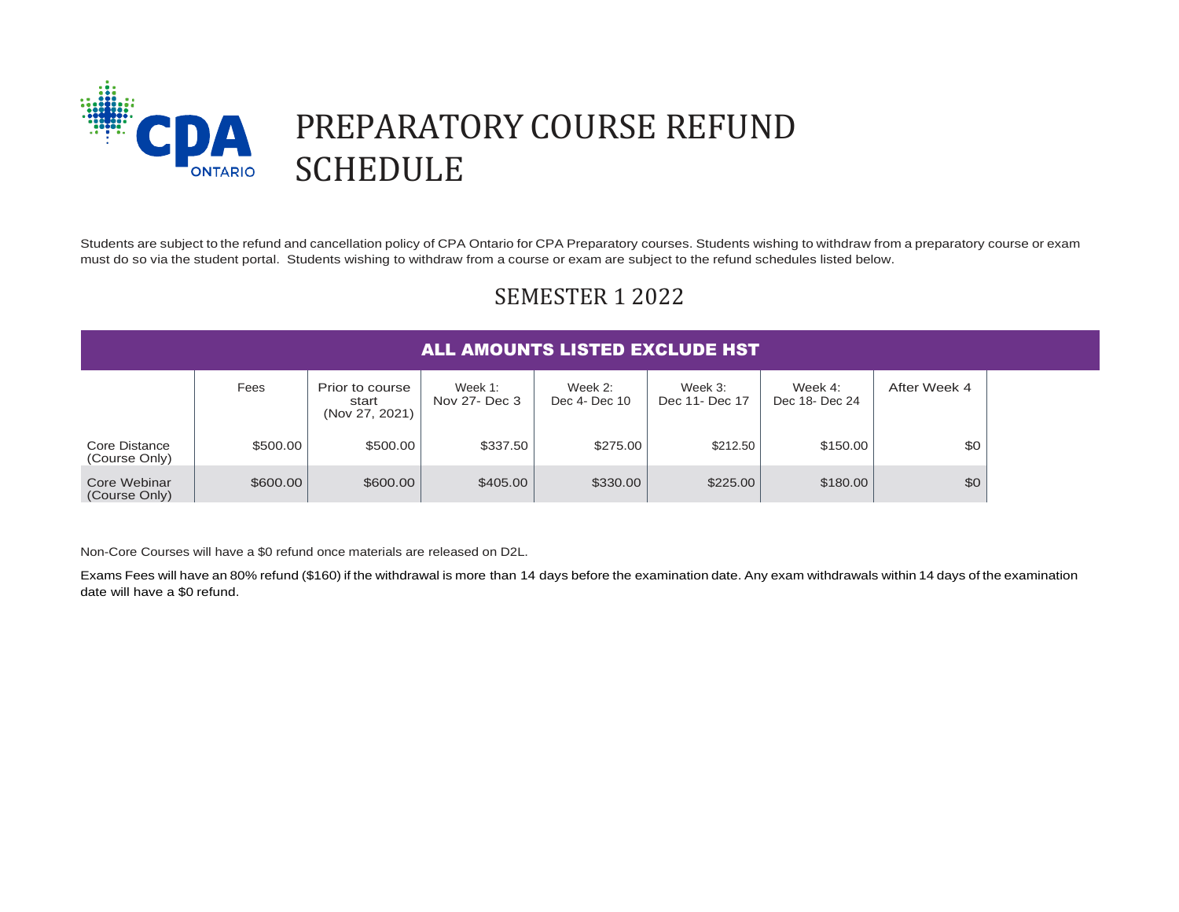

# SEMESTER 1 2022

|                                | Fees     | Prior to course<br>start<br>(Nov 27, 2021) | Week $1$ :<br>Nov 27- Dec 3 | Week $2$ :<br>Dec 4- Dec 10 | Week 3:<br>Dec 11- Dec 17 | Week $4:$<br>Dec 18- Dec 24 | After Week 4 |
|--------------------------------|----------|--------------------------------------------|-----------------------------|-----------------------------|---------------------------|-----------------------------|--------------|
| Core Distance<br>(Course Only) | \$500.00 | \$500.00                                   | \$337.50                    | \$275.00                    | \$212.50                  | \$150.00                    | \$0          |
| Core Webinar<br>(Course Only)  | \$600.00 | \$600.00                                   | \$405.00                    | \$330.00                    | \$225.00                  | \$180.00                    | \$0          |

Non-Core Courses will have a \$0 refund once materials are released on D2L.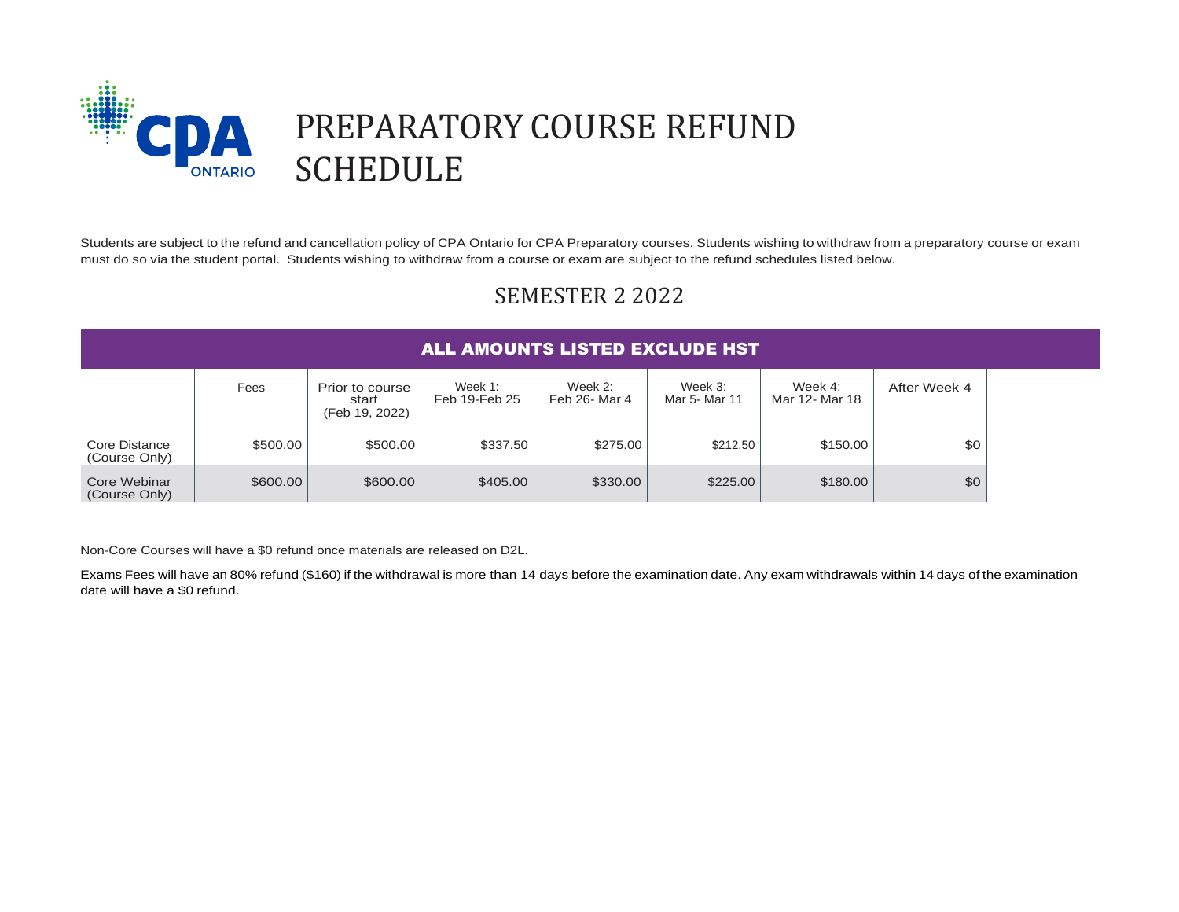

## SEMESTER 2 2022

|                                |          |                                            | <b>ALL AMOUNTS LISTED EXCLUDE HST</b> |                          |                          |                           |              |  |
|--------------------------------|----------|--------------------------------------------|---------------------------------------|--------------------------|--------------------------|---------------------------|--------------|--|
|                                | Fees     | Prior to course<br>start<br>(Feb 19, 2022) | Week 1:<br>Feb 19-Feb 25              | Week 2:<br>Feb 26- Mar 4 | Week 3:<br>Mar 5- Mar 11 | Week 4:<br>Mar 12- Mar 18 | After Week 4 |  |
| Core Distance<br>(Course Only) | \$500.00 | \$500.00                                   | \$337.50                              | \$275.00                 | \$212.50                 | \$150.00                  | \$0          |  |
| Core Webinar<br>(Course Only)  | \$600.00 | \$600.00                                   | \$405.00                              | \$330.00                 | \$225.00                 | \$180.00                  | \$0          |  |

Non-Core Courses will have a \$0 refund once materials are released on D2L.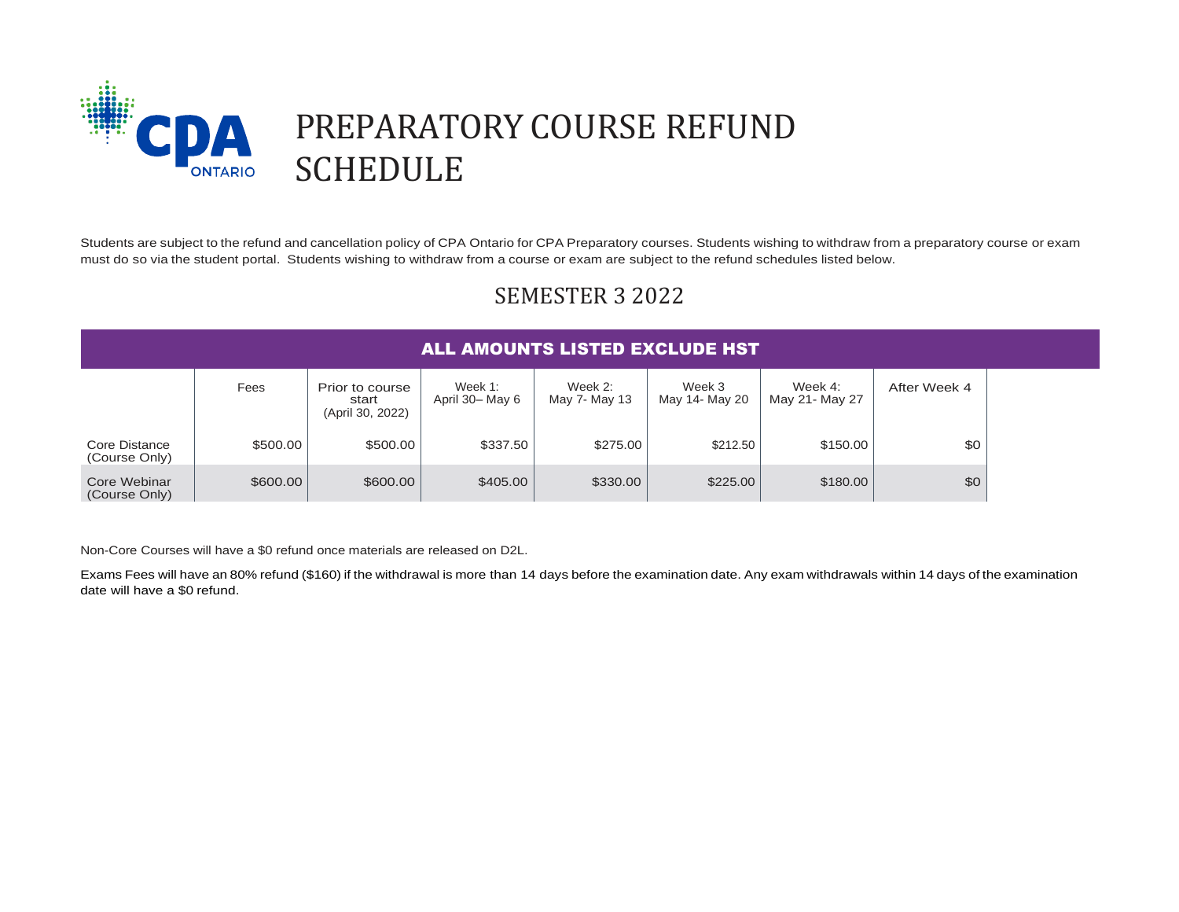

## SEMESTER 3 2022

|                                |          |                                              | <b>ALL AMOUNTS LISTED EXCLUDE HST</b> |                            |                          |                              |              |
|--------------------------------|----------|----------------------------------------------|---------------------------------------|----------------------------|--------------------------|------------------------------|--------------|
|                                | Fees     | Prior to course<br>start<br>(April 30, 2022) | Week 1:<br>April 30- May 6            | Week $2:$<br>May 7- May 13 | Week 3<br>May 14- May 20 | Week $4$ :<br>May 21- May 27 | After Week 4 |
| Core Distance<br>(Course Only) | \$500.00 | \$500.00                                     | \$337.50                              | \$275.00                   | \$212.50                 | \$150.00                     | \$0          |
| Core Webinar<br>(Course Only)  | \$600.00 | \$600.00                                     | \$405.00                              | \$330.00                   | \$225.00                 | \$180.00                     | \$0          |

Non-Core Courses will have a \$0 refund once materials are released on D2L.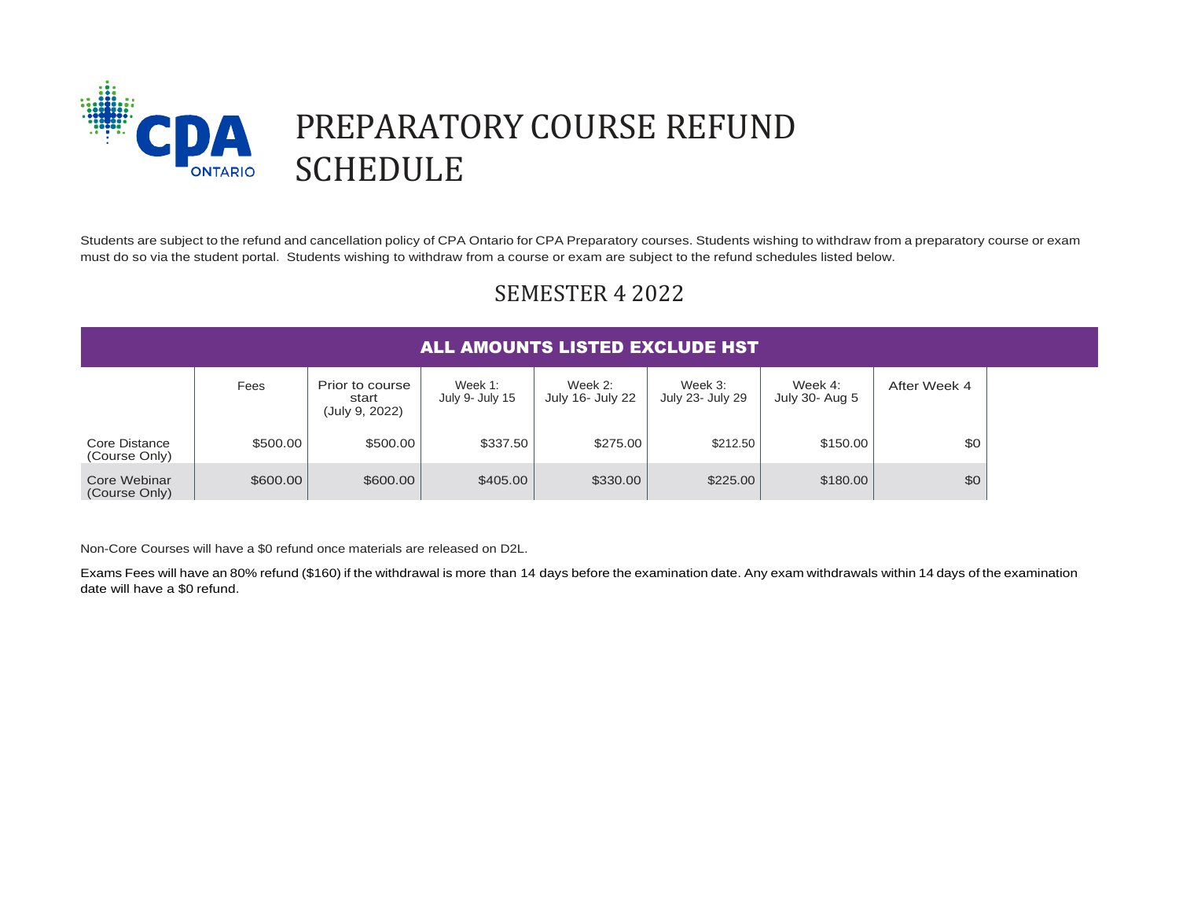

## SEMESTER 4 2022

|                                | <b>ALL AMOUNTS LISTED EXCLUDE HST</b> |                                            |                            |                             |                             |                           |              |
|--------------------------------|---------------------------------------|--------------------------------------------|----------------------------|-----------------------------|-----------------------------|---------------------------|--------------|
|                                | Fees                                  | Prior to course<br>start<br>(July 9, 2022) | Week 1:<br>July 9- July 15 | Week 2:<br>July 16- July 22 | Week 3:<br>July 23- July 29 | Week 4:<br>July 30- Aug 5 | After Week 4 |
| Core Distance<br>(Course Only) | \$500.00                              | \$500.00                                   | \$337.50                   | \$275.00                    | \$212.50                    | \$150.00                  | \$0          |
| Core Webinar<br>(Course Only)  | \$600.00                              | \$600.00                                   | \$405.00                   | \$330.00                    | \$225.00                    | \$180.00                  | \$0          |

Non-Core Courses will have a \$0 refund once materials are released on D2L.